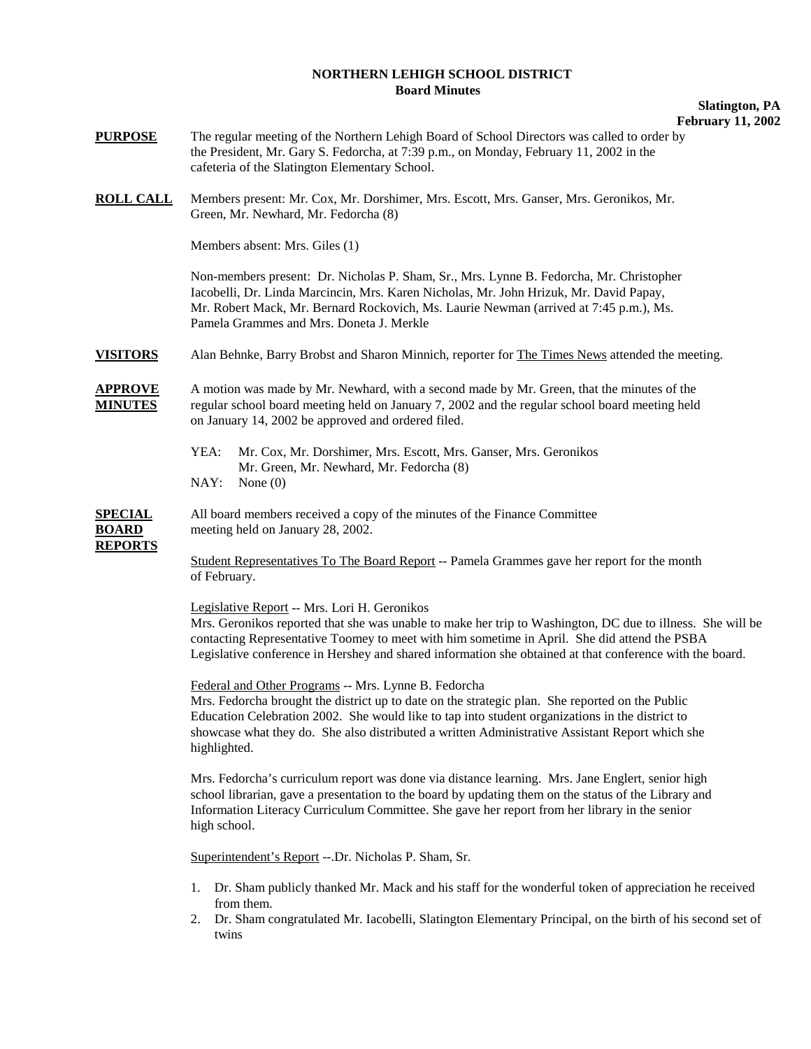## **NORTHERN LEHIGH SCHOOL DISTRICT Board Minutes**

## **Slatington, PA February 11, 2002**

- **PURPOSE** The regular meeting of the Northern Lehigh Board of School Directors was called to order by the President, Mr. Gary S. Fedorcha, at 7:39 p.m., on Monday, February 11, 2002 in the cafeteria of the Slatington Elementary School.
- **ROLL CALL** Members present: Mr. Cox, Mr. Dorshimer, Mrs. Escott, Mrs. Ganser, Mrs. Geronikos, Mr. Green, Mr. Newhard, Mr. Fedorcha (8)

Members absent: Mrs. Giles (1)

 Non-members present: Dr. Nicholas P. Sham, Sr., Mrs. Lynne B. Fedorcha, Mr. Christopher Iacobelli, Dr. Linda Marcincin, Mrs. Karen Nicholas, Mr. John Hrizuk, Mr. David Papay, Mr. Robert Mack, Mr. Bernard Rockovich, Ms. Laurie Newman (arrived at 7:45 p.m.), Ms. Pamela Grammes and Mrs. Doneta J. Merkle

**VISITORS** Alan Behnke, Barry Brobst and Sharon Minnich, reporter for The Times News attended the meeting.

**APPROVE** A motion was made by Mr. Newhard, with a second made by Mr. Green, that the minutes of the **MINUTES** regular school board meeting held on January 7, 2002 and the regular school board meeting held on January 14, 2002 be approved and ordered filed.

- YEA: Mr. Cox, Mr. Dorshimer, Mrs. Escott, Mrs. Ganser, Mrs. Geronikos Mr. Green, Mr. Newhard, Mr. Fedorcha (8) NAY: None (0)
- **SPECIAL** All board members received a copy of the minutes of the Finance Committee **BOARD** meeting held on January 28, 2002.

**REPORTS**

 Student Representatives To The Board Report -- Pamela Grammes gave her report for the month of February.

Legislative Report -- Mrs. Lori H. Geronikos

Mrs. Geronikos reported that she was unable to make her trip to Washington, DC due to illness. She will be contacting Representative Toomey to meet with him sometime in April. She did attend the PSBA Legislative conference in Hershey and shared information she obtained at that conference with the board.

Federal and Other Programs -- Mrs. Lynne B. Fedorcha

Mrs. Fedorcha brought the district up to date on the strategic plan. She reported on the Public Education Celebration 2002. She would like to tap into student organizations in the district to showcase what they do. She also distributed a written Administrative Assistant Report which she highlighted.

Mrs. Fedorcha's curriculum report was done via distance learning. Mrs. Jane Englert, senior high school librarian, gave a presentation to the board by updating them on the status of the Library and Information Literacy Curriculum Committee. She gave her report from her library in the senior high school.

Superintendent's Report --.Dr. Nicholas P. Sham, Sr.

- 1. Dr. Sham publicly thanked Mr. Mack and his staff for the wonderful token of appreciation he received from them.
- 2. Dr. Sham congratulated Mr. Iacobelli, Slatington Elementary Principal, on the birth of his second set of twins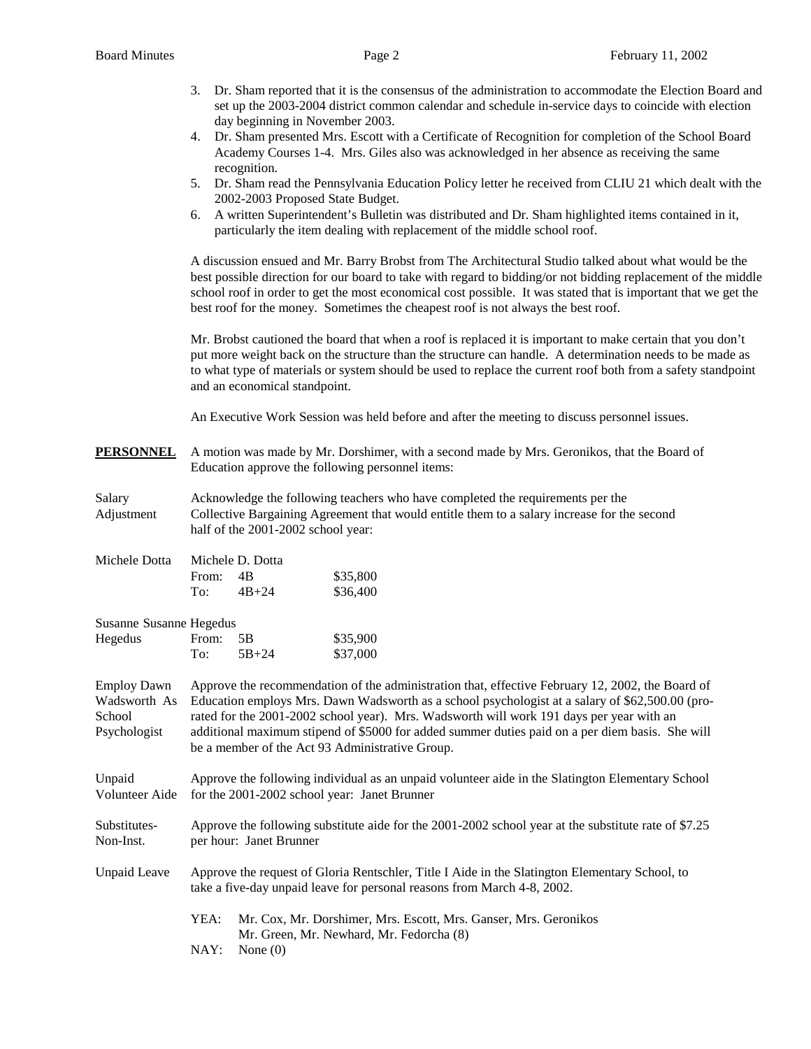|                                                              | 3.                                                                                                                                                                                                                                                                                                                                                                                                                                                    | day beginning in November 2003.  | Dr. Sham reported that it is the consensus of the administration to accommodate the Election Board and<br>set up the 2003-2004 district common calendar and schedule in-service days to coincide with election                                                                                                                         |  |  |
|--------------------------------------------------------------|-------------------------------------------------------------------------------------------------------------------------------------------------------------------------------------------------------------------------------------------------------------------------------------------------------------------------------------------------------------------------------------------------------------------------------------------------------|----------------------------------|----------------------------------------------------------------------------------------------------------------------------------------------------------------------------------------------------------------------------------------------------------------------------------------------------------------------------------------|--|--|
|                                                              | 4.                                                                                                                                                                                                                                                                                                                                                                                                                                                    | recognition.                     | Dr. Sham presented Mrs. Escott with a Certificate of Recognition for completion of the School Board<br>Academy Courses 1-4. Mrs. Giles also was acknowledged in her absence as receiving the same                                                                                                                                      |  |  |
|                                                              | 5.                                                                                                                                                                                                                                                                                                                                                                                                                                                    | 2002-2003 Proposed State Budget. | Dr. Sham read the Pennsylvania Education Policy letter he received from CLIU 21 which dealt with the                                                                                                                                                                                                                                   |  |  |
|                                                              | 6.                                                                                                                                                                                                                                                                                                                                                                                                                                                    |                                  | A written Superintendent's Bulletin was distributed and Dr. Sham highlighted items contained in it,<br>particularly the item dealing with replacement of the middle school roof.                                                                                                                                                       |  |  |
|                                                              | A discussion ensued and Mr. Barry Brobst from The Architectural Studio talked about what would be the<br>best possible direction for our board to take with regard to bidding/or not bidding replacement of the middle<br>school roof in order to get the most economical cost possible. It was stated that is important that we get the<br>best roof for the money. Sometimes the cheapest roof is not always the best roof.                         |                                  |                                                                                                                                                                                                                                                                                                                                        |  |  |
|                                                              |                                                                                                                                                                                                                                                                                                                                                                                                                                                       | and an economical standpoint.    | Mr. Brobst cautioned the board that when a roof is replaced it is important to make certain that you don't<br>put more weight back on the structure than the structure can handle. A determination needs to be made as<br>to what type of materials or system should be used to replace the current roof both from a safety standpoint |  |  |
|                                                              |                                                                                                                                                                                                                                                                                                                                                                                                                                                       |                                  | An Executive Work Session was held before and after the meeting to discuss personnel issues.                                                                                                                                                                                                                                           |  |  |
| <u>PERSONNEL</u>                                             |                                                                                                                                                                                                                                                                                                                                                                                                                                                       |                                  | A motion was made by Mr. Dorshimer, with a second made by Mrs. Geronikos, that the Board of<br>Education approve the following personnel items:                                                                                                                                                                                        |  |  |
| Salary<br>Adjustment                                         | Acknowledge the following teachers who have completed the requirements per the<br>Collective Bargaining Agreement that would entitle them to a salary increase for the second<br>half of the 2001-2002 school year:                                                                                                                                                                                                                                   |                                  |                                                                                                                                                                                                                                                                                                                                        |  |  |
| Michele Dotta                                                |                                                                                                                                                                                                                                                                                                                                                                                                                                                       | Michele D. Dotta                 |                                                                                                                                                                                                                                                                                                                                        |  |  |
|                                                              | From:<br>To:                                                                                                                                                                                                                                                                                                                                                                                                                                          | 4B<br>$4B + 24$                  | \$35,800<br>\$36,400                                                                                                                                                                                                                                                                                                                   |  |  |
| Susanne Susanne Hegedus                                      |                                                                                                                                                                                                                                                                                                                                                                                                                                                       |                                  |                                                                                                                                                                                                                                                                                                                                        |  |  |
| Hegedus                                                      | From:<br>To:                                                                                                                                                                                                                                                                                                                                                                                                                                          | 5B<br>$5B + 24$                  | \$35,900<br>\$37,000                                                                                                                                                                                                                                                                                                                   |  |  |
| <b>Employ Dawn</b><br>Wadsworth As<br>School<br>Psychologist | Approve the recommendation of the administration that, effective February 12, 2002, the Board of<br>Education employs Mrs. Dawn Wadsworth as a school psychologist at a salary of \$62,500.00 (pro-<br>rated for the 2001-2002 school year). Mrs. Wadsworth will work 191 days per year with an<br>additional maximum stipend of \$5000 for added summer duties paid on a per diem basis. She will<br>be a member of the Act 93 Administrative Group. |                                  |                                                                                                                                                                                                                                                                                                                                        |  |  |
| Unpaid<br>Volunteer Aide                                     | Approve the following individual as an unpaid volunteer aide in the Slatington Elementary School<br>for the 2001-2002 school year: Janet Brunner                                                                                                                                                                                                                                                                                                      |                                  |                                                                                                                                                                                                                                                                                                                                        |  |  |
| Substitutes-<br>Non-Inst.                                    | Approve the following substitute aide for the 2001-2002 school year at the substitute rate of \$7.25<br>per hour: Janet Brunner                                                                                                                                                                                                                                                                                                                       |                                  |                                                                                                                                                                                                                                                                                                                                        |  |  |
| <b>Unpaid Leave</b>                                          | Approve the request of Gloria Rentschler, Title I Aide in the Slatington Elementary School, to<br>take a five-day unpaid leave for personal reasons from March 4-8, 2002.                                                                                                                                                                                                                                                                             |                                  |                                                                                                                                                                                                                                                                                                                                        |  |  |
|                                                              | YEA:<br>NAY:                                                                                                                                                                                                                                                                                                                                                                                                                                          | None $(0)$                       | Mr. Cox, Mr. Dorshimer, Mrs. Escott, Mrs. Ganser, Mrs. Geronikos<br>Mr. Green, Mr. Newhard, Mr. Fedorcha (8)                                                                                                                                                                                                                           |  |  |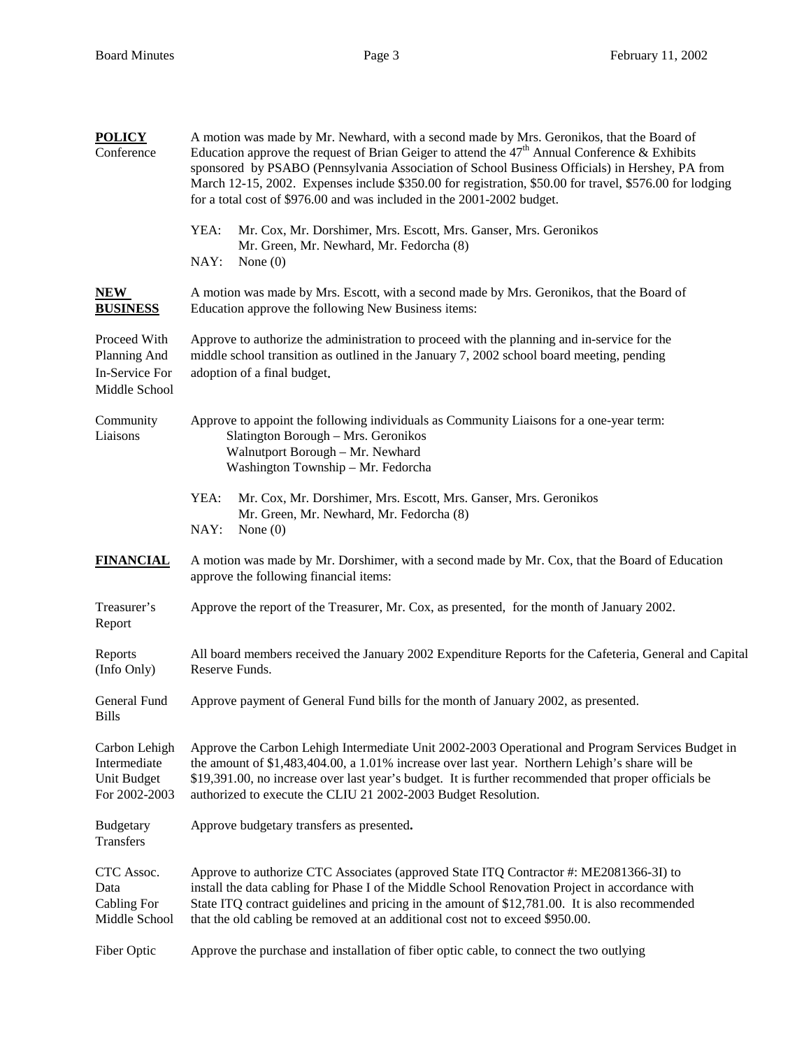| <b>POLICY</b><br>Conference                                     | A motion was made by Mr. Newhard, with a second made by Mrs. Geronikos, that the Board of<br>Education approve the request of Brian Geiger to attend the $47th$ Annual Conference & Exhibits<br>sponsored by PSABO (Pennsylvania Association of School Business Officials) in Hershey, PA from<br>March 12-15, 2002. Expenses include \$350.00 for registration, \$50.00 for travel, \$576.00 for lodging<br>for a total cost of \$976.00 and was included in the 2001-2002 budget. |  |  |  |  |
|-----------------------------------------------------------------|-------------------------------------------------------------------------------------------------------------------------------------------------------------------------------------------------------------------------------------------------------------------------------------------------------------------------------------------------------------------------------------------------------------------------------------------------------------------------------------|--|--|--|--|
|                                                                 | YEA:<br>Mr. Cox, Mr. Dorshimer, Mrs. Escott, Mrs. Ganser, Mrs. Geronikos<br>Mr. Green, Mr. Newhard, Mr. Fedorcha (8)<br>NAY:<br>None $(0)$                                                                                                                                                                                                                                                                                                                                          |  |  |  |  |
| NEW<br><b>BUSINESS</b>                                          | A motion was made by Mrs. Escott, with a second made by Mrs. Geronikos, that the Board of<br>Education approve the following New Business items:                                                                                                                                                                                                                                                                                                                                    |  |  |  |  |
| Proceed With<br>Planning And<br>In-Service For<br>Middle School | Approve to authorize the administration to proceed with the planning and in-service for the<br>middle school transition as outlined in the January 7, 2002 school board meeting, pending<br>adoption of a final budget.                                                                                                                                                                                                                                                             |  |  |  |  |
| Community<br>Liaisons                                           | Approve to appoint the following individuals as Community Liaisons for a one-year term:<br>Slatington Borough - Mrs. Geronikos<br>Walnutport Borough - Mr. Newhard<br>Washington Township - Mr. Fedorcha                                                                                                                                                                                                                                                                            |  |  |  |  |
|                                                                 | YEA:<br>Mr. Cox, Mr. Dorshimer, Mrs. Escott, Mrs. Ganser, Mrs. Geronikos<br>Mr. Green, Mr. Newhard, Mr. Fedorcha (8)<br>NAY:<br>None $(0)$                                                                                                                                                                                                                                                                                                                                          |  |  |  |  |
| <b>FINANCIAL</b>                                                | A motion was made by Mr. Dorshimer, with a second made by Mr. Cox, that the Board of Education<br>approve the following financial items:                                                                                                                                                                                                                                                                                                                                            |  |  |  |  |
| Treasurer's<br>Report                                           | Approve the report of the Treasurer, Mr. Cox, as presented, for the month of January 2002.                                                                                                                                                                                                                                                                                                                                                                                          |  |  |  |  |
| Reports<br>(Info Only)                                          | All board members received the January 2002 Expenditure Reports for the Cafeteria, General and Capital<br>Reserve Funds.                                                                                                                                                                                                                                                                                                                                                            |  |  |  |  |
| General Fund<br><b>Bills</b>                                    | Approve payment of General Fund bills for the month of January 2002, as presented.                                                                                                                                                                                                                                                                                                                                                                                                  |  |  |  |  |
| Carbon Lehigh<br>Intermediate<br>Unit Budget<br>For 2002-2003   | Approve the Carbon Lehigh Intermediate Unit 2002-2003 Operational and Program Services Budget in<br>the amount of \$1,483,404.00, a 1.01% increase over last year. Northern Lehigh's share will be<br>\$19,391.00, no increase over last year's budget. It is further recommended that proper officials be<br>authorized to execute the CLIU 21 2002-2003 Budget Resolution.                                                                                                        |  |  |  |  |
| <b>Budgetary</b><br>Transfers                                   | Approve budgetary transfers as presented.                                                                                                                                                                                                                                                                                                                                                                                                                                           |  |  |  |  |
| CTC Assoc.<br>Data<br><b>Cabling For</b><br>Middle School       | Approve to authorize CTC Associates (approved State ITQ Contractor #: ME2081366-3I) to<br>install the data cabling for Phase I of the Middle School Renovation Project in accordance with<br>State ITQ contract guidelines and pricing in the amount of \$12,781.00. It is also recommended<br>that the old cabling be removed at an additional cost not to exceed \$950.00.                                                                                                        |  |  |  |  |
| Fiber Optic                                                     | Approve the purchase and installation of fiber optic cable, to connect the two outlying                                                                                                                                                                                                                                                                                                                                                                                             |  |  |  |  |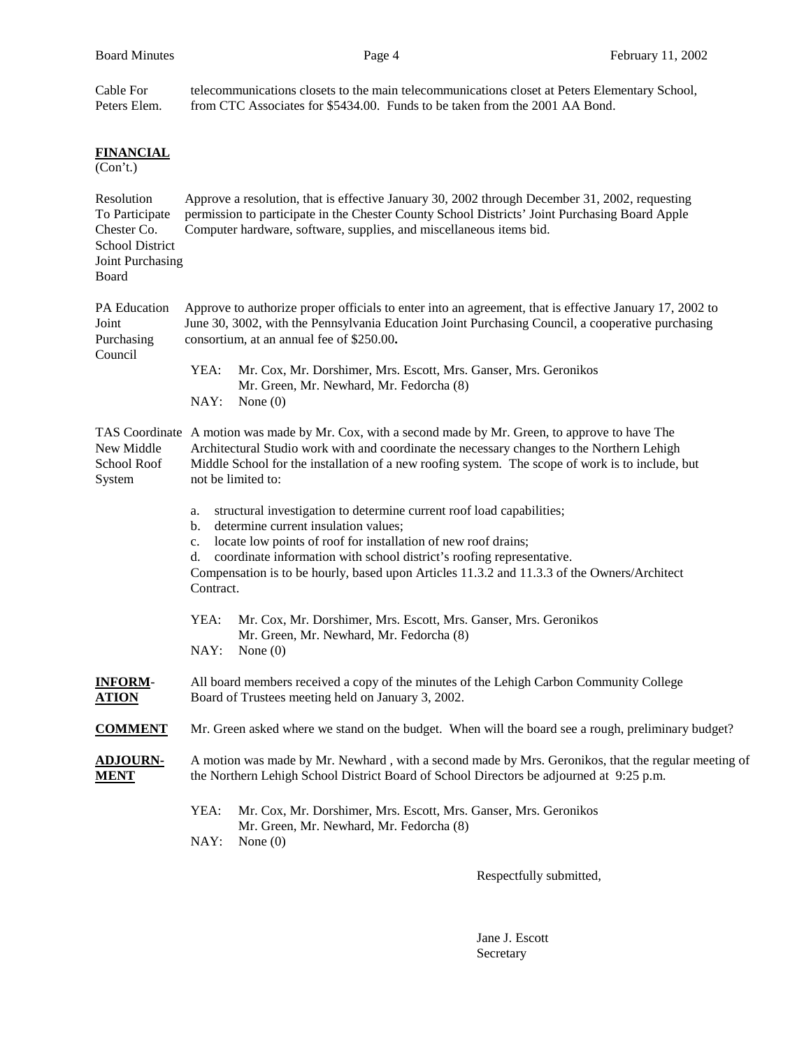| Cable For<br>Peters Elem.                                                                          | telecommunications closets to the main telecommunications closet at Peters Elementary School,<br>from CTC Associates for \$5434.00. Funds to be taken from the 2001 AA Bond.                                                                                                                                                                                                                            |  |  |  |  |
|----------------------------------------------------------------------------------------------------|---------------------------------------------------------------------------------------------------------------------------------------------------------------------------------------------------------------------------------------------------------------------------------------------------------------------------------------------------------------------------------------------------------|--|--|--|--|
| <b>FINANCIAL</b><br>(Con't.)                                                                       |                                                                                                                                                                                                                                                                                                                                                                                                         |  |  |  |  |
| Resolution<br>To Participate<br>Chester Co.<br><b>School District</b><br>Joint Purchasing<br>Board | Approve a resolution, that is effective January 30, 2002 through December 31, 2002, requesting<br>permission to participate in the Chester County School Districts' Joint Purchasing Board Apple<br>Computer hardware, software, supplies, and miscellaneous items bid.                                                                                                                                 |  |  |  |  |
| <b>PA Education</b><br>Joint<br>Purchasing<br>Council                                              | Approve to authorize proper officials to enter into an agreement, that is effective January 17, 2002 to<br>June 30, 3002, with the Pennsylvania Education Joint Purchasing Council, a cooperative purchasing<br>consortium, at an annual fee of \$250.00.                                                                                                                                               |  |  |  |  |
|                                                                                                    | YEA:<br>Mr. Cox, Mr. Dorshimer, Mrs. Escott, Mrs. Ganser, Mrs. Geronikos<br>Mr. Green, Mr. Newhard, Mr. Fedorcha (8)<br>NAY:<br>None $(0)$                                                                                                                                                                                                                                                              |  |  |  |  |
| New Middle<br>School Roof<br>System                                                                | TAS Coordinate A motion was made by Mr. Cox, with a second made by Mr. Green, to approve to have The<br>Architectural Studio work with and coordinate the necessary changes to the Northern Lehigh<br>Middle School for the installation of a new roofing system. The scope of work is to include, but<br>not be limited to:                                                                            |  |  |  |  |
|                                                                                                    | structural investigation to determine current roof load capabilities;<br>a.<br>determine current insulation values;<br>$\mathbf b$ .<br>locate low points of roof for installation of new roof drains;<br>c.<br>coordinate information with school district's roofing representative.<br>d.<br>Compensation is to be hourly, based upon Articles 11.3.2 and 11.3.3 of the Owners/Architect<br>Contract. |  |  |  |  |
|                                                                                                    | YEA:<br>Mr. Cox, Mr. Dorshimer, Mrs. Escott, Mrs. Ganser, Mrs. Geronikos<br>Mr. Green, Mr. Newhard, Mr. Fedorcha (8)<br>NAY:<br>None $(0)$                                                                                                                                                                                                                                                              |  |  |  |  |
| <b>INFORM-</b><br><b>ATION</b>                                                                     | All board members received a copy of the minutes of the Lehigh Carbon Community College<br>Board of Trustees meeting held on January 3, 2002.                                                                                                                                                                                                                                                           |  |  |  |  |
| <b>COMMENT</b>                                                                                     | Mr. Green asked where we stand on the budget. When will the board see a rough, preliminary budget?                                                                                                                                                                                                                                                                                                      |  |  |  |  |
| <b>ADJOURN-</b><br><b>MENT</b>                                                                     | A motion was made by Mr. Newhard, with a second made by Mrs. Geronikos, that the regular meeting of<br>the Northern Lehigh School District Board of School Directors be adjourned at 9:25 p.m.                                                                                                                                                                                                          |  |  |  |  |
|                                                                                                    | YEA:<br>Mr. Cox, Mr. Dorshimer, Mrs. Escott, Mrs. Ganser, Mrs. Geronikos<br>Mr. Green, Mr. Newhard, Mr. Fedorcha (8)<br>NAY:<br>None $(0)$                                                                                                                                                                                                                                                              |  |  |  |  |
|                                                                                                    |                                                                                                                                                                                                                                                                                                                                                                                                         |  |  |  |  |

Respectfully submitted,

 Jane J. Escott Secretary